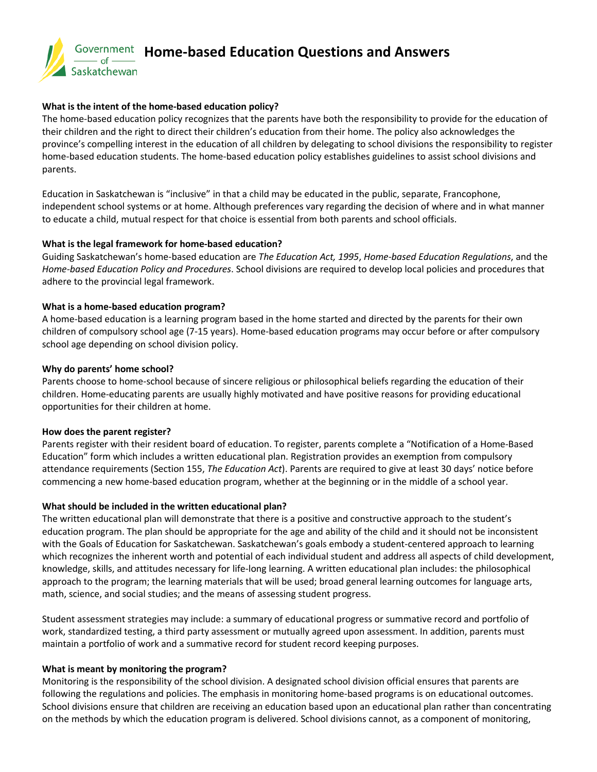

### **What is the intent of the home-based education policy?**

The home-based education policy recognizes that the parents have both the responsibility to provide for the education of their children and the right to direct their children's education from their home. The policy also acknowledges the province's compelling interest in the education of all children by delegating to school divisions the responsibility to register home-based education students. The home-based education policy establishes guidelines to assist school divisions and parents.

Education in Saskatchewan is "inclusive" in that a child may be educated in the public, separate, Francophone, independent school systems or at home. Although preferences vary regarding the decision of where and in what manner to educate a child, mutual respect for that choice is essential from both parents and school officials.

# **What is the legal framework for home-based education?**

Guiding Saskatchewan's home-based education are *The Education Act, 1995*, *Home-based Education Regulations*, and the *Home-based Education Policy and Procedures*. School divisions are required to develop local policies and procedures that adhere to the provincial legal framework.

# **What is a home-based education program?**

A home-based education is a learning program based in the home started and directed by the parents for their own children of compulsory school age (7-15 years). Home-based education programs may occur before or after compulsory school age depending on school division policy.

# **Why do parents' home school?**

Parents choose to home-school because of sincere religious or philosophical beliefs regarding the education of their children. Home-educating parents are usually highly motivated and have positive reasons for providing educational opportunities for their children at home.

### **How does the parent register?**

Parents register with their resident board of education. To register, parents complete a "Notification of a Home-Based Education" form which includes a written educational plan. Registration provides an exemption from compulsory attendance requirements (Section 155, *The Education Act*). Parents are required to give at least 30 days' notice before commencing a new home-based education program, whether at the beginning or in the middle of a school year.

# **What should be included in the written educational plan?**

The written educational plan will demonstrate that there is a positive and constructive approach to the student's education program. The plan should be appropriate for the age and ability of the child and it should not be inconsistent with the Goals of Education for Saskatchewan. Saskatchewan's goals embody a student-centered approach to learning which recognizes the inherent worth and potential of each individual student and address all aspects of child development, knowledge, skills, and attitudes necessary for life-long learning. A written educational plan includes: the philosophical approach to the program; the learning materials that will be used; broad general learning outcomes for language arts, math, science, and social studies; and the means of assessing student progress.

Student assessment strategies may include: a summary of educational progress or summative record and portfolio of work, standardized testing, a third party assessment or mutually agreed upon assessment. In addition, parents must maintain a portfolio of work and a summative record for student record keeping purposes.

### **What is meant by monitoring the program?**

Monitoring is the responsibility of the school division. A designated school division official ensures that parents are following the regulations and policies. The emphasis in monitoring home-based programs is on educational outcomes. School divisions ensure that children are receiving an education based upon an educational plan rather than concentrating on the methods by which the education program is delivered. School divisions cannot, as a component of monitoring,